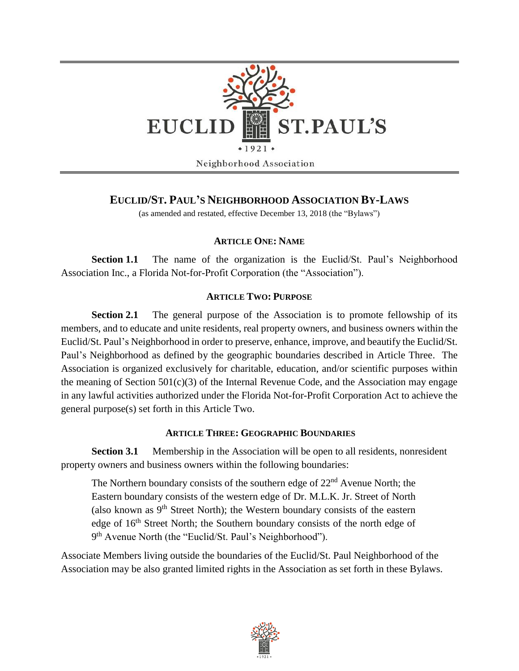

# **EUCLID/ST. PAUL'S NEIGHBORHOOD ASSOCIATION BY-LAWS**

(as amended and restated, effective December 13, 2018 (the "Bylaws")

## **ARTICLE ONE: NAME**

**Section 1.1** The name of the organization is the Euclid/St. Paul's Neighborhood Association Inc., a Florida Not-for-Profit Corporation (the "Association").

## **ARTICLE TWO: PURPOSE**

**Section 2.1** The general purpose of the Association is to promote fellowship of its members, and to educate and unite residents, real property owners, and business owners within the Euclid/St. Paul's Neighborhood in order to preserve, enhance, improve, and beautify the Euclid/St. Paul's Neighborhood as defined by the geographic boundaries described in Article Three. The Association is organized exclusively for charitable, education, and/or scientific purposes within the meaning of Section  $501(c)(3)$  of the Internal Revenue Code, and the Association may engage in any lawful activities authorized under the Florida Not-for-Profit Corporation Act to achieve the general purpose(s) set forth in this Article Two.

## **ARTICLE THREE: GEOGRAPHIC BOUNDARIES**

**Section 3.1** Membership in the Association will be open to all residents, nonresident property owners and business owners within the following boundaries:

The Northern boundary consists of the southern edge of 22nd Avenue North; the Eastern boundary consists of the western edge of Dr. M.L.K. Jr. Street of North (also known as  $9<sup>th</sup>$  Street North); the Western boundary consists of the eastern edge of 16<sup>th</sup> Street North; the Southern boundary consists of the north edge of 9<sup>th</sup> Avenue North (the "Euclid/St. Paul's Neighborhood").

Associate Members living outside the boundaries of the Euclid/St. Paul Neighborhood of the Association may be also granted limited rights in the Association as set forth in these Bylaws.

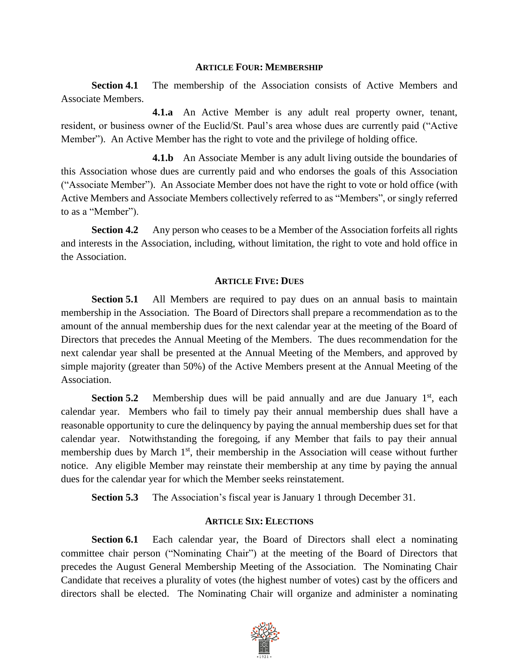### **ARTICLE FOUR: MEMBERSHIP**

**Section 4.1** The membership of the Association consists of Active Members and Associate Members.

**4.1.a** An Active Member is any adult real property owner, tenant, resident, or business owner of the Euclid/St. Paul's area whose dues are currently paid ("Active Member"). An Active Member has the right to vote and the privilege of holding office.

**4.1.b** An Associate Member is any adult living outside the boundaries of this Association whose dues are currently paid and who endorses the goals of this Association ("Associate Member"). An Associate Member does not have the right to vote or hold office (with Active Members and Associate Members collectively referred to as "Members", or singly referred to as a "Member").

**Section 4.2** Any person who ceases to be a Member of the Association forfeits all rights and interests in the Association, including, without limitation, the right to vote and hold office in the Association.

## **ARTICLE FIVE: DUES**

**Section 5.1** All Members are required to pay dues on an annual basis to maintain membership in the Association. The Board of Directors shall prepare a recommendation as to the amount of the annual membership dues for the next calendar year at the meeting of the Board of Directors that precedes the Annual Meeting of the Members. The dues recommendation for the next calendar year shall be presented at the Annual Meeting of the Members, and approved by simple majority (greater than 50%) of the Active Members present at the Annual Meeting of the Association.

**Section 5.2** Membership dues will be paid annually and are due January  $1<sup>st</sup>$ , each calendar year. Members who fail to timely pay their annual membership dues shall have a reasonable opportunity to cure the delinquency by paying the annual membership dues set for that calendar year. Notwithstanding the foregoing, if any Member that fails to pay their annual membership dues by March 1<sup>st</sup>, their membership in the Association will cease without further notice. Any eligible Member may reinstate their membership at any time by paying the annual dues for the calendar year for which the Member seeks reinstatement.

**Section 5.3** The Association's fiscal year is January 1 through December 31.

## **ARTICLE SIX: ELECTIONS**

**Section 6.1** Each calendar year, the Board of Directors shall elect a nominating committee chair person ("Nominating Chair") at the meeting of the Board of Directors that precedes the August General Membership Meeting of the Association. The Nominating Chair Candidate that receives a plurality of votes (the highest number of votes) cast by the officers and directors shall be elected. The Nominating Chair will organize and administer a nominating

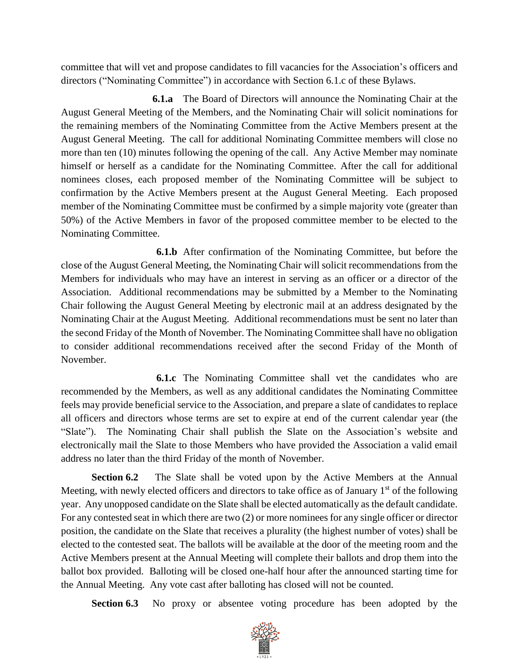committee that will vet and propose candidates to fill vacancies for the Association's officers and directors ("Nominating Committee") in accordance with Section 6.1.c of these Bylaws.

**6.1.a** The Board of Directors will announce the Nominating Chair at the August General Meeting of the Members, and the Nominating Chair will solicit nominations for the remaining members of the Nominating Committee from the Active Members present at the August General Meeting. The call for additional Nominating Committee members will close no more than ten (10) minutes following the opening of the call. Any Active Member may nominate himself or herself as a candidate for the Nominating Committee. After the call for additional nominees closes, each proposed member of the Nominating Committee will be subject to confirmation by the Active Members present at the August General Meeting. Each proposed member of the Nominating Committee must be confirmed by a simple majority vote (greater than 50%) of the Active Members in favor of the proposed committee member to be elected to the Nominating Committee.

**6.1.b** After confirmation of the Nominating Committee, but before the close of the August General Meeting, the Nominating Chair will solicit recommendations from the Members for individuals who may have an interest in serving as an officer or a director of the Association. Additional recommendations may be submitted by a Member to the Nominating Chair following the August General Meeting by electronic mail at an address designated by the Nominating Chair at the August Meeting. Additional recommendations must be sent no later than the second Friday of the Month of November. The Nominating Committee shall have no obligation to consider additional recommendations received after the second Friday of the Month of November.

**6.1.c** The Nominating Committee shall vet the candidates who are recommended by the Members, as well as any additional candidates the Nominating Committee feels may provide beneficial service to the Association, and prepare a slate of candidates to replace all officers and directors whose terms are set to expire at end of the current calendar year (the "Slate"). The Nominating Chair shall publish the Slate on the Association's website and electronically mail the Slate to those Members who have provided the Association a valid email address no later than the third Friday of the month of November.

**Section 6.2** The Slate shall be voted upon by the Active Members at the Annual Meeting, with newly elected officers and directors to take office as of January  $1<sup>st</sup>$  of the following year. Any unopposed candidate on the Slate shall be elected automatically as the default candidate. For any contested seat in which there are two (2) or more nominees for any single officer or director position, the candidate on the Slate that receives a plurality (the highest number of votes) shall be elected to the contested seat. The ballots will be available at the door of the meeting room and the Active Members present at the Annual Meeting will complete their ballots and drop them into the ballot box provided. Balloting will be closed one-half hour after the announced starting time for the Annual Meeting. Any vote cast after balloting has closed will not be counted.

**Section 6.3** No proxy or absentee voting procedure has been adopted by the

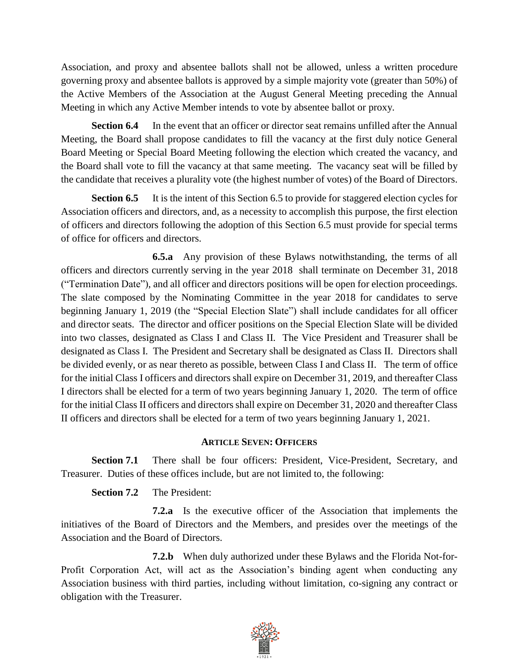Association, and proxy and absentee ballots shall not be allowed, unless a written procedure governing proxy and absentee ballots is approved by a simple majority vote (greater than 50%) of the Active Members of the Association at the August General Meeting preceding the Annual Meeting in which any Active Member intends to vote by absentee ballot or proxy.

**Section 6.4** In the event that an officer or director seat remains unfilled after the Annual Meeting, the Board shall propose candidates to fill the vacancy at the first duly notice General Board Meeting or Special Board Meeting following the election which created the vacancy, and the Board shall vote to fill the vacancy at that same meeting. The vacancy seat will be filled by the candidate that receives a plurality vote (the highest number of votes) of the Board of Directors.

**Section 6.5** It is the intent of this Section 6.5 to provide for staggered election cycles for Association officers and directors, and, as a necessity to accomplish this purpose, the first election of officers and directors following the adoption of this Section 6.5 must provide for special terms of office for officers and directors.

**6.5.a** Any provision of these Bylaws notwithstanding, the terms of all officers and directors currently serving in the year 2018 shall terminate on December 31, 2018 ("Termination Date"), and all officer and directors positions will be open for election proceedings. The slate composed by the Nominating Committee in the year 2018 for candidates to serve beginning January 1, 2019 (the "Special Election Slate") shall include candidates for all officer and director seats. The director and officer positions on the Special Election Slate will be divided into two classes, designated as Class I and Class II. The Vice President and Treasurer shall be designated as Class I. The President and Secretary shall be designated as Class II. Directors shall be divided evenly, or as near thereto as possible, between Class I and Class II. The term of office for the initial Class I officers and directors shall expire on December 31, 2019, and thereafter Class I directors shall be elected for a term of two years beginning January 1, 2020. The term of office for the initial Class II officers and directors shall expire on December 31, 2020 and thereafter Class II officers and directors shall be elected for a term of two years beginning January 1, 2021.

## **ARTICLE SEVEN: OFFICERS**

**Section 7.1** There shall be four officers: President, Vice-President, Secretary, and Treasurer. Duties of these offices include, but are not limited to, the following:

**Section 7.2** The President:

**7.2.a** Is the executive officer of the Association that implements the initiatives of the Board of Directors and the Members, and presides over the meetings of the Association and the Board of Directors.

**7.2.b** When duly authorized under these Bylaws and the Florida Not-for-Profit Corporation Act, will act as the Association's binding agent when conducting any Association business with third parties, including without limitation, co-signing any contract or obligation with the Treasurer.

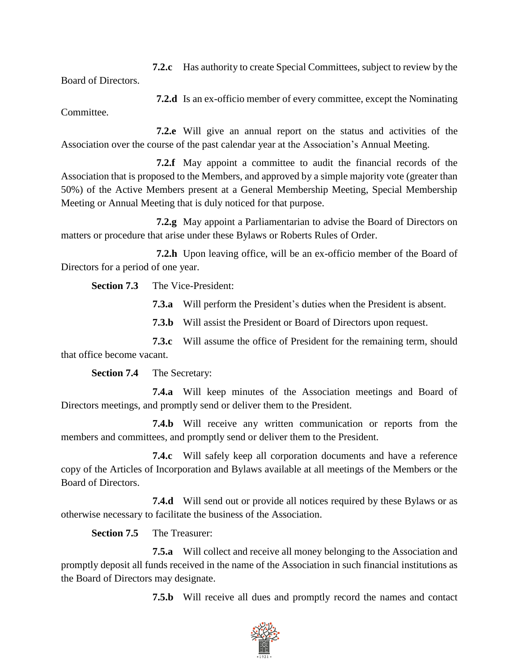**7.2.c** Has authority to create Special Committees, subject to review by the

Board of Directors.

**7.2.d** Is an ex-officio member of every committee, except the Nominating Committee.

**7.2.e** Will give an annual report on the status and activities of the Association over the course of the past calendar year at the Association's Annual Meeting.

**7.2.f** May appoint a committee to audit the financial records of the Association that is proposed to the Members, and approved by a simple majority vote (greater than 50%) of the Active Members present at a General Membership Meeting, Special Membership Meeting or Annual Meeting that is duly noticed for that purpose.

**7.2.g** May appoint a Parliamentarian to advise the Board of Directors on matters or procedure that arise under these Bylaws or Roberts Rules of Order.

**7.2.h** Upon leaving office, will be an ex-officio member of the Board of Directors for a period of one year.

**Section 7.3** The Vice-President:

**7.3.a** Will perform the President's duties when the President is absent.

**7.3.b** Will assist the President or Board of Directors upon request.

**7.3.c** Will assume the office of President for the remaining term, should that office become vacant.

**Section 7.4** The Secretary:

**7.4.a** Will keep minutes of the Association meetings and Board of Directors meetings, and promptly send or deliver them to the President.

**7.4.b** Will receive any written communication or reports from the members and committees, and promptly send or deliver them to the President.

**7.4.c** Will safely keep all corporation documents and have a reference copy of the Articles of Incorporation and Bylaws available at all meetings of the Members or the Board of Directors.

**7.4.d** Will send out or provide all notices required by these Bylaws or as otherwise necessary to facilitate the business of the Association.

**Section 7.5** The Treasurer:

**7.5.a** Will collect and receive all money belonging to the Association and promptly deposit all funds received in the name of the Association in such financial institutions as the Board of Directors may designate.

**7.5.b** Will receive all dues and promptly record the names and contact

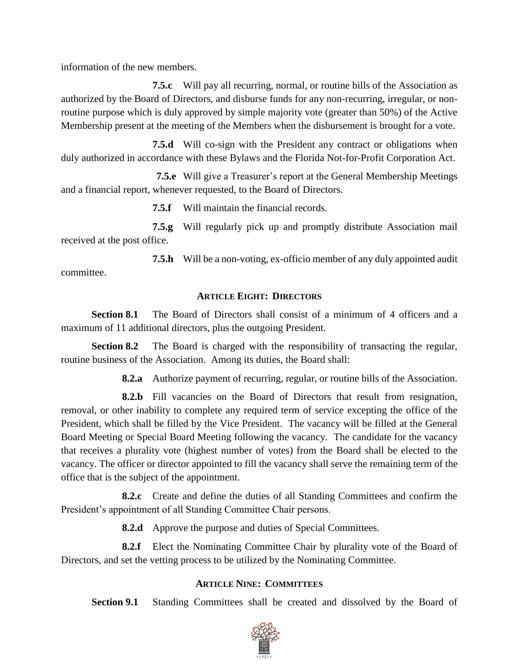information of the new members.

**7.5.c** Will pay all recurring, normal, or routine bills of the Association as authorized by the Board of Directors, and disburse funds for any non-recurring, irregular, or nonroutine purpose which is duly approved by simple majority vote (greater than 50%) of the Active Membership present at the meeting of the Members when the disbursement is brought for a vote.

**7.5.d** Will co-sign with the President any contract or obligations when duly authorized in accordance with these Bylaws and the Florida Not-for-Profit Corporation Act.

**7.5.e** Will give a Treasurer's report at the General Membership Meetings and a financial report, whenever requested, to the Board of Directors.

**7.5.f** Will maintain the financial records.

**7.5.g** Will regularly pick up and promptly distribute Association mail received at the post office.

**7.5.h** Will be a non-voting, ex-officio member of any duly appointed audit committee.

## **ARTICLE EIGHT: DIRECTORS**

**Section 8.1** The Board of Directors shall consist of a minimum of 4 officers and a maximum of 11 additional directors, plus the outgoing President.

**Section 8.2** The Board is charged with the responsibility of transacting the regular, routine business of the Association. Among its duties, the Board shall:

**8.2.a** Authorize payment of recurring, regular, or routine bills of the Association.

**8.2.b** Fill vacancies on the Board of Directors that result from resignation, removal, or other inability to complete any required term of service excepting the office of the President, which shall be filled by the Vice President. The vacancy will be filled at the General Board Meeting or Special Board Meeting following the vacancy. The candidate for the vacancy that receives a plurality vote (highest number of votes) from the Board shall be elected to the vacancy. The officer or director appointed to fill the vacancy shall serve the remaining term of the office that is the subject of the appointment.

**8.2.c** Create and define the duties of all Standing Committees and confirm the President's appointment of all Standing Committee Chair persons.

**8.2.d** Approve the purpose and duties of Special Committees.

**8.2.f** Elect the Nominating Committee Chair by plurality vote of the Board of Directors, and set the vetting process to be utilized by the Nominating Committee.

## **ARTICLE NINE: COMMITTEES**

**Section 9.1** Standing Committees shall be created and dissolved by the Board of

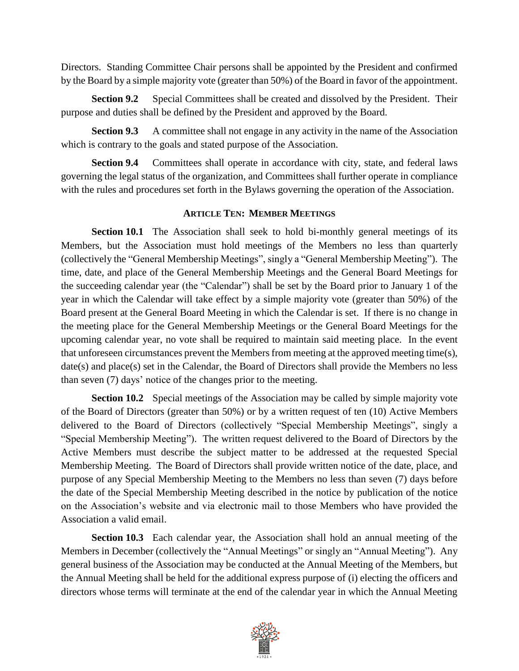Directors. Standing Committee Chair persons shall be appointed by the President and confirmed by the Board by a simple majority vote (greater than 50%) of the Board in favor of the appointment.

**Section 9.2** Special Committees shall be created and dissolved by the President. Their purpose and duties shall be defined by the President and approved by the Board.

**Section 9.3** A committee shall not engage in any activity in the name of the Association which is contrary to the goals and stated purpose of the Association.

**Section 9.4** Committees shall operate in accordance with city, state, and federal laws governing the legal status of the organization, and Committees shall further operate in compliance with the rules and procedures set forth in the Bylaws governing the operation of the Association.

## **ARTICLE TEN: MEMBER MEETINGS**

**Section 10.1** The Association shall seek to hold bi-monthly general meetings of its Members, but the Association must hold meetings of the Members no less than quarterly (collectively the "General Membership Meetings", singly a "General Membership Meeting"). The time, date, and place of the General Membership Meetings and the General Board Meetings for the succeeding calendar year (the "Calendar") shall be set by the Board prior to January 1 of the year in which the Calendar will take effect by a simple majority vote (greater than 50%) of the Board present at the General Board Meeting in which the Calendar is set. If there is no change in the meeting place for the General Membership Meetings or the General Board Meetings for the upcoming calendar year, no vote shall be required to maintain said meeting place. In the event that unforeseen circumstances prevent the Members from meeting at the approved meeting time(s), date(s) and place(s) set in the Calendar, the Board of Directors shall provide the Members no less than seven (7) days' notice of the changes prior to the meeting.

**Section 10.2** Special meetings of the Association may be called by simple majority vote of the Board of Directors (greater than 50%) or by a written request of ten (10) Active Members delivered to the Board of Directors (collectively "Special Membership Meetings", singly a "Special Membership Meeting"). The written request delivered to the Board of Directors by the Active Members must describe the subject matter to be addressed at the requested Special Membership Meeting. The Board of Directors shall provide written notice of the date, place, and purpose of any Special Membership Meeting to the Members no less than seven (7) days before the date of the Special Membership Meeting described in the notice by publication of the notice on the Association's website and via electronic mail to those Members who have provided the Association a valid email.

**Section 10.3** Each calendar year, the Association shall hold an annual meeting of the Members in December (collectively the "Annual Meetings" or singly an "Annual Meeting"). Any general business of the Association may be conducted at the Annual Meeting of the Members, but the Annual Meeting shall be held for the additional express purpose of (i) electing the officers and directors whose terms will terminate at the end of the calendar year in which the Annual Meeting

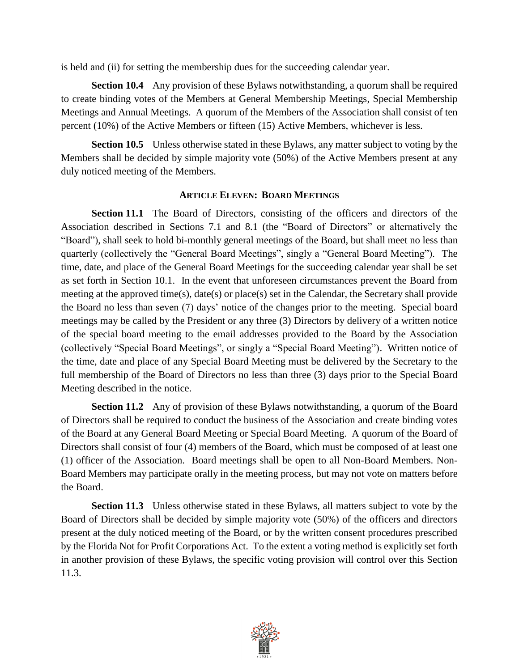is held and (ii) for setting the membership dues for the succeeding calendar year.

**Section 10.4** Any provision of these Bylaws notwithstanding, a quorum shall be required to create binding votes of the Members at General Membership Meetings, Special Membership Meetings and Annual Meetings. A quorum of the Members of the Association shall consist of ten percent (10%) of the Active Members or fifteen (15) Active Members, whichever is less.

**Section 10.5** Unless otherwise stated in these Bylaws, any matter subject to voting by the Members shall be decided by simple majority vote (50%) of the Active Members present at any duly noticed meeting of the Members.

### **ARTICLE ELEVEN: BOARD MEETINGS**

**Section 11.1** The Board of Directors, consisting of the officers and directors of the Association described in Sections 7.1 and 8.1 (the "Board of Directors" or alternatively the "Board"), shall seek to hold bi-monthly general meetings of the Board, but shall meet no less than quarterly (collectively the "General Board Meetings", singly a "General Board Meeting"). The time, date, and place of the General Board Meetings for the succeeding calendar year shall be set as set forth in Section 10.1. In the event that unforeseen circumstances prevent the Board from meeting at the approved time(s), date(s) or place(s) set in the Calendar, the Secretary shall provide the Board no less than seven (7) days' notice of the changes prior to the meeting. Special board meetings may be called by the President or any three (3) Directors by delivery of a written notice of the special board meeting to the email addresses provided to the Board by the Association (collectively "Special Board Meetings", or singly a "Special Board Meeting"). Written notice of the time, date and place of any Special Board Meeting must be delivered by the Secretary to the full membership of the Board of Directors no less than three (3) days prior to the Special Board Meeting described in the notice.

**Section 11.2** Any of provision of these Bylaws notwithstanding, a quorum of the Board of Directors shall be required to conduct the business of the Association and create binding votes of the Board at any General Board Meeting or Special Board Meeting. A quorum of the Board of Directors shall consist of four (4) members of the Board, which must be composed of at least one (1) officer of the Association. Board meetings shall be open to all Non-Board Members. Non-Board Members may participate orally in the meeting process, but may not vote on matters before the Board.

**Section 11.3** Unless otherwise stated in these Bylaws, all matters subject to vote by the Board of Directors shall be decided by simple majority vote (50%) of the officers and directors present at the duly noticed meeting of the Board, or by the written consent procedures prescribed by the Florida Not for Profit Corporations Act. To the extent a voting method is explicitly set forth in another provision of these Bylaws, the specific voting provision will control over this Section 11.3.

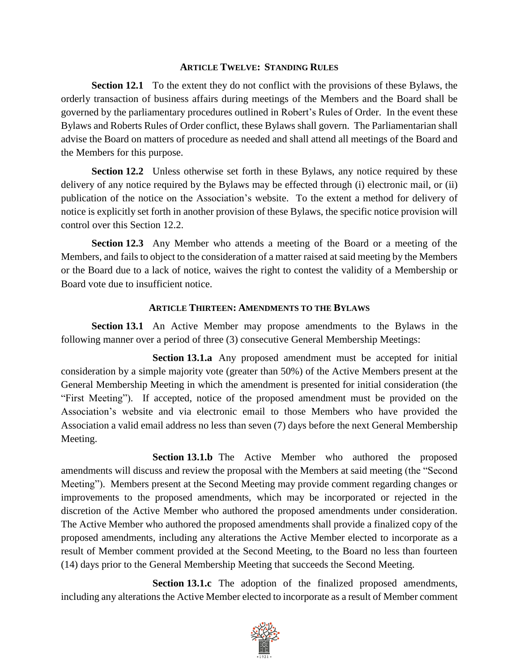#### **ARTICLE TWELVE: STANDING RULES**

**Section 12.1** To the extent they do not conflict with the provisions of these Bylaws, the orderly transaction of business affairs during meetings of the Members and the Board shall be governed by the parliamentary procedures outlined in Robert's Rules of Order. In the event these Bylaws and Roberts Rules of Order conflict, these Bylaws shall govern. The Parliamentarian shall advise the Board on matters of procedure as needed and shall attend all meetings of the Board and the Members for this purpose.

**Section 12.2** Unless otherwise set forth in these Bylaws, any notice required by these delivery of any notice required by the Bylaws may be effected through (i) electronic mail, or (ii) publication of the notice on the Association's website. To the extent a method for delivery of notice is explicitly set forth in another provision of these Bylaws, the specific notice provision will control over this Section 12.2.

**Section 12.3** Any Member who attends a meeting of the Board or a meeting of the Members, and fails to object to the consideration of a matter raised at said meeting by the Members or the Board due to a lack of notice, waives the right to contest the validity of a Membership or Board vote due to insufficient notice.

## **ARTICLE THIRTEEN: AMENDMENTS TO THE BYLAWS**

**Section 13.1** An Active Member may propose amendments to the Bylaws in the following manner over a period of three (3) consecutive General Membership Meetings:

**Section 13.1.a** Any proposed amendment must be accepted for initial consideration by a simple majority vote (greater than 50%) of the Active Members present at the General Membership Meeting in which the amendment is presented for initial consideration (the "First Meeting"). If accepted, notice of the proposed amendment must be provided on the Association's website and via electronic email to those Members who have provided the Association a valid email address no less than seven (7) days before the next General Membership Meeting.

**Section 13.1.b** The Active Member who authored the proposed amendments will discuss and review the proposal with the Members at said meeting (the "Second Meeting"). Members present at the Second Meeting may provide comment regarding changes or improvements to the proposed amendments, which may be incorporated or rejected in the discretion of the Active Member who authored the proposed amendments under consideration. The Active Member who authored the proposed amendments shall provide a finalized copy of the proposed amendments, including any alterations the Active Member elected to incorporate as a result of Member comment provided at the Second Meeting, to the Board no less than fourteen (14) days prior to the General Membership Meeting that succeeds the Second Meeting.

**Section 13.1.c** The adoption of the finalized proposed amendments, including any alterations the Active Member elected to incorporate as a result of Member comment